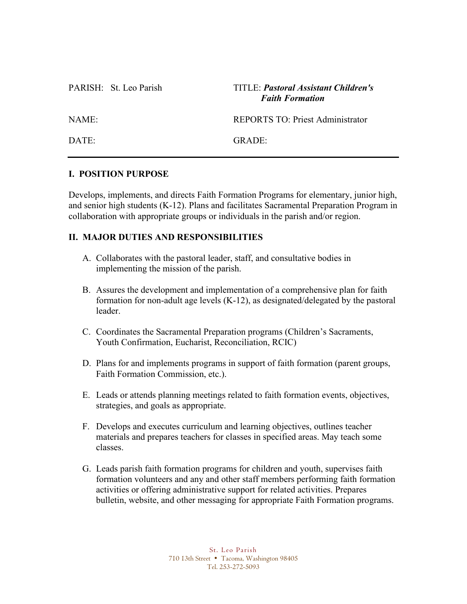### PARISH: St. Leo Parish TITLE: *Pastoral Assistant Children's Faith Formation*

NAME: REPORTS TO: Priest Administrator

DATE: GRADE:

# **I. POSITION PURPOSE**

Develops, implements, and directs Faith Formation Programs for elementary, junior high, and senior high students (K-12). Plans and facilitates Sacramental Preparation Program in collaboration with appropriate groups or individuals in the parish and/or region.

# **II. MAJOR DUTIES AND RESPONSIBILITIES**

- A. Collaborates with the pastoral leader, staff, and consultative bodies in implementing the mission of the parish.
- B. Assures the development and implementation of a comprehensive plan for faith formation for non-adult age levels (K-12), as designated/delegated by the pastoral leader.
- C. Coordinates the Sacramental Preparation programs (Children's Sacraments, Youth Confirmation, Eucharist, Reconciliation, RCIC)
- D. Plans for and implements programs in support of faith formation (parent groups, Faith Formation Commission, etc.).
- E. Leads or attends planning meetings related to faith formation events, objectives, strategies, and goals as appropriate.
- F. Develops and executes curriculum and learning objectives, outlines teacher materials and prepares teachers for classes in specified areas. May teach some classes.
- G. Leads parish faith formation programs for children and youth, supervises faith formation volunteers and any and other staff members performing faith formation activities or offering administrative support for related activities. Prepares bulletin, website, and other messaging for appropriate Faith Formation programs.